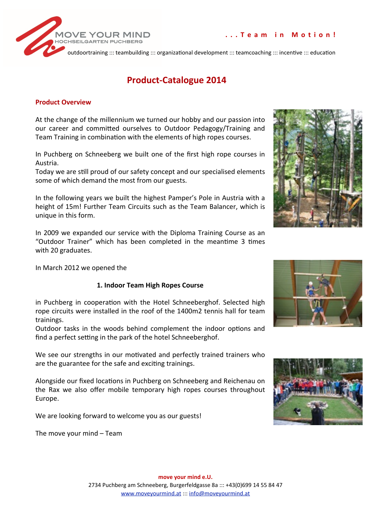



# **Product-Catalogue 2014**

#### **Product.Overview**

At the change of the millennium we turned our hobby and our passion into our career and committed ourselves to Outdoor Pedagogy/Training and Team Training in combination with the elements of high ropes courses.

In Puchberg on Schneeberg we built one of the first high rope courses in Austria.#

Today we are still proud of our safety concept and our specialised elements some of which demand the most from our guests.

In the following years we built the highest Pamper's Pole in Austria with a height of 15m! Further Team Circuits such as the Team Balancer, which is unique in this form.

In 2009 we expanded our service with the Diploma Training Course as an "Outdoor Trainer" which has been completed in the meantime 3 times with 20 graduates.

In March 2012 we opened the

### **1..Indoor.Team.High.Ropes.Course.**

in Puchberg in cooperation with the Hotel Schneeberghof. Selected high rope circuits were installed in the roof of the 1400m2 tennis hall for team trainings.#

Outdoor tasks in the woods behind complement the indoor options and find a perfect setting in the park of the hotel Schneeberghof.

We see our strengths in our motivated and perfectly trained trainers who are the guarantee for the safe and exciting trainings.

Alongside our fixed locations in Puchberg on Schneeberg and Reichenau on the Rax we also offer mobile temporary high ropes courses throughout Europe.#

We are looking forward to welcome you as our guests!

The move your mind – Team





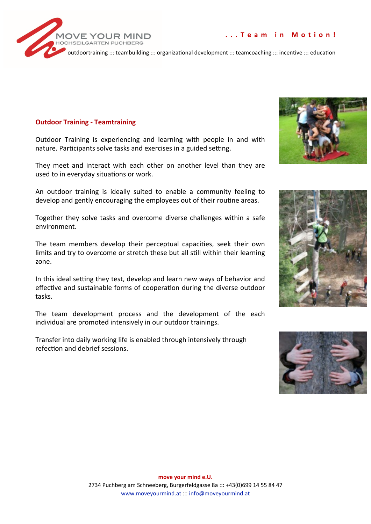### **Outdoor Training - Teamtraining**

Outdoor Training is experiencing and learning with people in and with nature. Participants solve tasks and exercises in a guided setting.

They meet and interact with each other on another level than they are used to in everyday situations or work.

An outdoor training is ideally suited to enable a community feeling to develop and gently encouraging the employees out of their routine areas.

Together they solve tasks and overcome diverse challenges within a safe environment.

The team members develop their perceptual capacities, seek their own limits and try to overcome or stretch these but all still within their learning zone.

In this ideal setting they test, develop and learn new ways of behavior and effective and sustainable forms of cooperation during the diverse outdoor tasks.

The team development process and the development of the each individual are promoted intensively in our outdoor trainings.

Transfer into daily working life is enabled through intensively through refection and debrief sessions.



... Team in Motion!





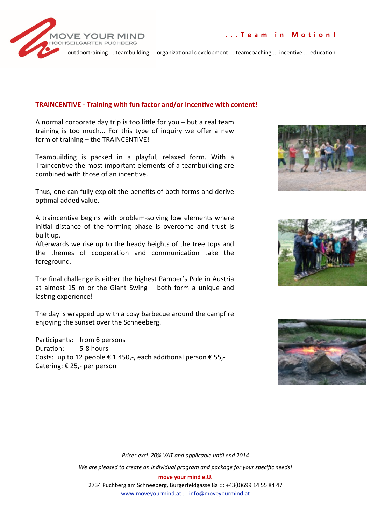



### TRAINCENTIVE - Training with fun factor and/or Incentive with content!

A normal corporate day trip is too little for you  $-$  but a real team training is too much... For this type of inquiry we offer a new form of training - the TRAINCENTIVE!

Teambuilding is packed in a playful, relaxed form. With a Traincentive the most important elements of a teambuilding are combined with those of an incentive.

Thus, one can fully exploit the benefits of both forms and derive optimal added value.

A traincentive begins with problem-solving low elements where initial distance of the forming phase is overcome and trust is built up.

Afterwards we rise up to the heady heights of the tree tops and the themes of cooperation and communication take the foreground.

The final challenge is either the highest Pamper's Pole in Austria at almost 15 m or the Giant Swing  $-$  both form a unique and lasting experience!

The day is wrapped up with a cosy barbecue around the campfire enjoying the sunset over the Schneeberg.

Participants: from 6 persons Duration: 5-8 hours Costs: up to 12 people € 1.450,-, each additional person € 55,-Catering: € 25,- per person







Prices excl. 20% VAT and applicable until end 2014 We are pleased to create an individual program and package for your specific needs! move your mind e.U. 2734 Puchberg am Schneeberg, Burgerfeldgasse 8a ::: +43(0)699 14 55 84 47 www.moveyourmind.at ::: info@moveyourmind.at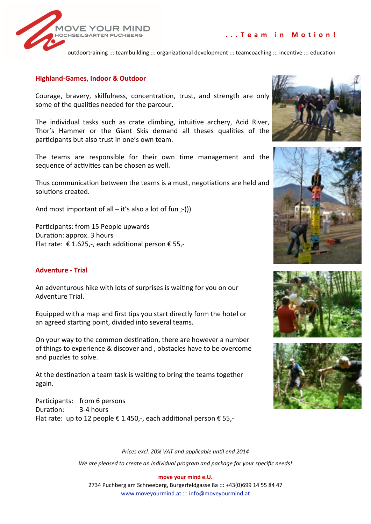

### ... Team in Motion!

outdoortraining ::: teambuilding ::: organizational development ::: teamcoaching ::: incentive ::: education

### **Highland-Games, Indoor & Outdoor**

Courage, bravery, skilfulness, concentration, trust, and strength are only some of the qualities needed for the parcour.

The individual tasks such as crate climbing, intuitive archery, Acid River, Thor's Hammer or the Giant Skis demand all theses qualities of the participants but also trust in one's own team.

The teams are responsible for their own time management and the sequence of activities can be chosen as well.

Thus communication between the teams is a must, negotiations are held and solutions created.

And most important of all  $-$  it's also a lot of fun :-))

Participants: from 15 People upwards Duration: approx. 3 hours Flat rate: €1.625,-, each additional person € 55,-

### **Adventure - Trial**

An adventurous hike with lots of surprises is waiting for you on our Adventure Trial.

Equipped with a map and first tips you start directly form the hotel or an agreed starting point, divided into several teams.

On your way to the common destination, there are however a number of things to experience & discover and, obstacles have to be overcome and puzzles to solve.

At the destination a team task is waiting to bring the teams together again.

Participants: from 6 persons Duration: 3-4 hours Flat rate: up to 12 people € 1.450,-, each additional person € 55,-









Prices excl. 20% VAT and applicable until end 2014

We are pleased to create an individual program and package for your specific needs!

move your mind e.U.

2734 Puchberg am Schneeberg, Burgerfeldgasse 8a ::: +43(0)699 14 55 84 47 www.moveyourmind.at ::: info@moveyourmind.at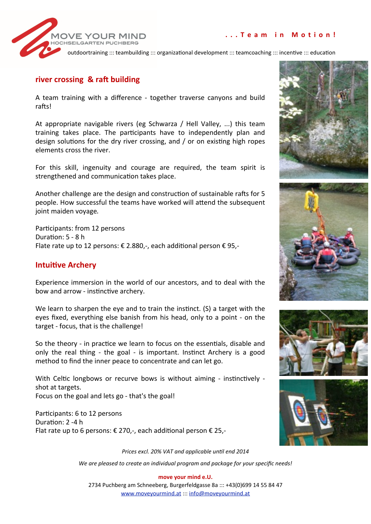### ... Team in Motion!



outdoortraining ::: teambuilding ::: organizational development ::: teamcoaching ::: incentive ::: education

### river crossing & raft building

A team training with a difference - together traverse canyons and build rafts!

At appropriate navigable rivers (eg Schwarza / Hell Valley, ...) this team training takes place. The participants have to independently plan and design solutions for the dry river crossing, and / or on existing high ropes elements cross the river.

For this skill, ingenuity and courage are required, the team spirit is strengthened and communication takes place.

Another challenge are the design and construction of sustainable rafts for 5 people. How successful the teams have worked will attend the subsequent joint maiden voyage.

Participants: from 12 persons Duration: 5 - 8 h Flate rate up to 12 persons: € 2.880,-, each additional person € 95,-

### **Intuitive Archery**

Experience immersion in the world of our ancestors, and to deal with the bow and arrow - instinctive archery.

We learn to sharpen the eye and to train the instinct. (S) a target with the eyes fixed, everything else banish from his head, only to a point - on the target - focus, that is the challenge!

So the theory - in practice we learn to focus on the essentials, disable and only the real thing - the goal - is important. Instinct Archery is a good method to find the inner peace to concentrate and can let go.

With Celtic longbows or recurve bows is without aiming - instinctively shot at targets. Focus on the goal and lets go - that's the goal!

Participants: 6 to 12 persons Duration: 2 -4 h Flat rate up to 6 persons: € 270,-, each additional person € 25,-









Prices excl. 20% VAT and applicable until end 2014 We are pleased to create an individual program and package for your specific needs!

2734 Puchberg am Schneeberg, Burgerfeldgasse 8a ::: +43(0)699 14 55 84 47 www.moveyourmind.at ::: info@moveyourmind.at

# move your mind e.U.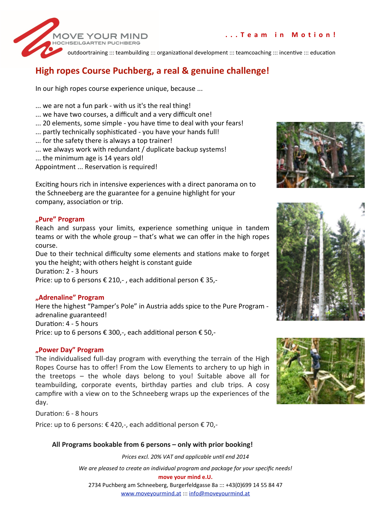

# High ropes Course Puchberg, a real & genuine challenge!

In our high ropes course experience unique, because ...

- ... we are not a fun park with us it's the real thing!
- ... we have two courses, a difficult and a very difficult one!
- ... 20 elements, some simple you have time to deal with your fears!
- ... partly technically sophisticated you have your hands full!
- ... for the safety there is always a top trainer!

**OVE YOUR MIN** 

- ... we always work with redundant / duplicate backup systems!
- ... the minimum age is 14 years old!

Appointment ... Reservation is required!

Exciting hours rich in intensive experiences with a direct panorama on to the Schneeberg are the guarantee for a genuine highlight for your company, association or trip.

### "Pure" Program

Reach and surpass your limits, experience something unique in tandem teams or with the whole group - that's what we can offer in the high ropes course.

Due to their technical difficulty some elements and stations make to forget you the height; with others height is constant guide

Duration: 2 - 3 hours

Price: up to 6 persons € 210, -, each additional person € 35,-

### "Adrenaline" Program

Here the highest "Pamper's Pole" in Austria adds spice to the Pure Program adrenaline guaranteed! Duration: 4 - 5 hours Price: up to 6 persons € 300,-, each additional person € 50,-

### "Power Day" Program

The individualised full-day program with everything the terrain of the High Ropes Course has to offer! From the Low Elements to archery to up high in the treetops - the whole days belong to you! Suitable above all for teambuilding, corporate events, birthday parties and club trips. A cosy campfire with a view on to the Schneeberg wraps up the experiences of the day.

Duration: 6 - 8 hours

Price: up to 6 persons: €420,-, each additional person €70,-

### All Programs bookable from 6 persons - only with prior booking!

Prices excl. 20% VAT and applicable until end 2014

We are pleased to create an individual program and package for your specific needs!

move your mind e.U.

2734 Puchberg am Schneeberg, Burgerfeldgasse 8a ::: +43(0)699 14 55 84 47 www.moveyourmind.at ::: info@moveyourmind.at





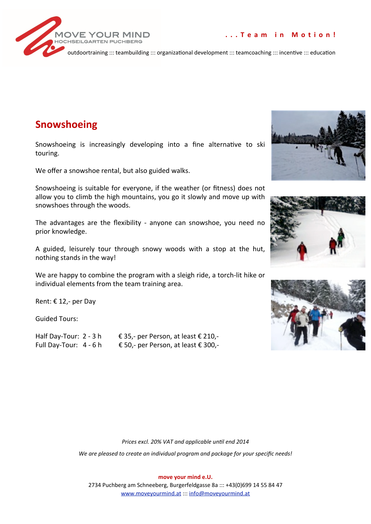



# **Snowshoeing**

Snowshoeing is increasingly developing into a fine alternative to ski touring.

We offer a snowshoe rental, but also guided walks.

Snowshoeing is suitable for everyone, if the weather (or fitness) does not allow you to climb the high mountains, you go it slowly and move up with snowshoes through the woods.

The advantages are the flexibility - anyone can snowshoe, you need no prior knowledge.

A guided, leisurely tour through snowy woods with a stop at the hut, nothing stands in the way!

We are happy to combine the program with a sleigh ride, a torch-lit hike or individual elements from the team training area.

Rent: €12,- per Day

Guided Tours:

Half Day-Tour: 2 - 3 h € 35,- per Person, at least € 210,-Full Day-Tour: 4 - 6 h € 50,- per Person, at least € 300,-







Prices excl. 20% VAT and applicable until end 2014

We are pleased to create an individual program and package for your specific needs!

move your mind e.U.

2734 Puchberg am Schneeberg, Burgerfeldgasse 8a ::: +43(0)699 14 55 84 47 www.moveyourmind.at ::: info@moveyourmind.at